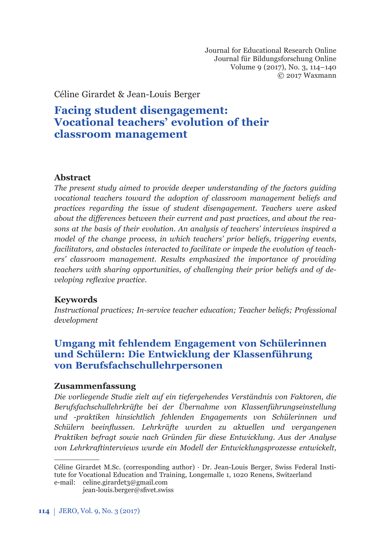Journal for Educational Research Online Journal für Bildungsforschung Online Volume 9 (2017), No. 3, 114–140 © 2017 Waxmann

Céline Girardet & Jean-Louis Berger

# **Facing student disengagement: Vocational teachers' evolution of their classroom management**

### **Abstract**

*The present study aimed to provide deeper understanding of the factors guiding vocational teachers toward the adoption of classroom management beliefs and practices regarding the issue of student disengagement. Teachers were asked about the diff erences between their current and past practices, and about the reasons at the basis of their evolution. An analysis of teachers' interviews inspired a model of the change process, in which teachers' prior beliefs, triggering events, facilitators, and obstacles interacted to facilitate or impede the evolution of teachers' classroom management. Results emphasized the importance of providing teachers with sharing opportunities, of challenging their prior beliefs and of developing reflexive practice.* 

## **Keywords**

*Instructional practices; In-service teacher education; Teacher beliefs; Professional development*

# **Umgang mit fehlendem Engagement von Schülerinnen und Schülern: Die Entwicklung der Klassenführung von Berufsfachschullehrpersonen**

### **Zusammenfassung**

*Die vorliegende Studie zielt auf ein tiefergehendes Verständnis von Faktoren, die Berufsfachschullehrkräfte bei der Übernahme von Klassenführungseinstellung und -praktiken hinsichtlich fehlenden Engagements von Schülerinnen und Schülern beeinfl ussen. Lehrkräfte wurden zu aktuellen und vergangenen Praktiken befragt sowie nach Gründen für diese Entwicklung. Aus der Analyse von Lehr kraft interviews wurde ein Modell der Entwicklungsprozesse entwickelt,* 

Céline Girardet M.Sc. (corresponding author) · Dr. Jean-Louis Berger, Swiss Federal Institute for Vocational Education and Training, Longemalle 1, 1020 Renens, Switzerland e-mail: celine.girardet3@gmail.com

jean-louis.berger@sfivet.swiss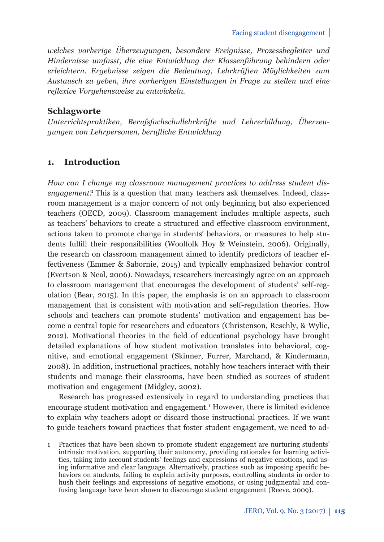*welches vorherige Überzeugungen, besondere Ereignisse, Prozessbegleiter und Hinder nisse umfasst, die eine Entwicklung der Klassenführung behindern oder erleichtern. Ergebnisse zeigen die Bedeutung, Lehrkräften Möglichkeiten zum Aus tausch zu geben, ihre vorherigen Einstellungen in Frage zu stellen und eine refl exive Vorgehensweise zu entwickeln.*

### **Schlagworte**

*Unterrichtspraktiken, Berufsfachschullehrkräfte und Lehrerbildung, Über zeugungen von Lehrpersonen, berufl iche Entwicklung*

# **1. Introduction**

*How can I change my classroom management practices to address student disengagement?* This is a question that many teachers ask themselves. Indeed, classroom management is a major concern of not only beginning but also experienced teachers (OECD, 2009). Classroom management includes multiple aspects, such as teachers' behaviors to create a structured and effective classroom environment, actions taken to promote change in students' behaviors, or measures to help students fulfill their responsibilities (Woolfolk Hoy & Weinstein, 2006). Originally, the research on classroom management aimed to identify predictors of teacher effectiveness (Emmer & Sabornie, 2015) and typically emphasized behavior control (Evertson & Neal, 2006). Nowadays, researchers increasingly agree on an approach to classroom management that encourages the development of students' self-regulation (Bear, 2015). In this paper, the emphasis is on an approach to classroom management that is consistent with motivation and self-regulation theories. How schools and teachers can promote students' motivation and engagement has become a central topic for researchers and educators (Christenson, Reschly, & Wylie, 2012). Motivational theories in the field of educational psychology have brought detailed explanations of how student motivation translates into behavioral, cognitive, and emotional engagement (Skinner, Furrer, Marchand, & Kindermann, 2008). In addition, instructional practices, notably how teachers interact with their students and manage their classrooms, have been studied as sources of student motivation and engagement (Midgley, 2002).

Research has progressed extensively in regard to understanding practices that encourage student motivation and engagement.<sup>1</sup> However, there is limited evidence to explain why teachers adopt or discard those instructional practices. If we want to guide teachers toward practices that foster student engagement, we need to ad-

<sup>1</sup> Practices that have been shown to promote student engagement are nurturing students' intrinsic motivation, supporting their autonomy, providing rationales for learning activities, taking into account students' feelings and expressions of negative emotions, and using informative and clear language. Alternatively, practices such as imposing specific behaviors on students, failing to explain activity purposes, controlling students in order to hush their feelings and expressions of negative emotions, or using judgmental and confusing language have been shown to discourage student engagement (Reeve, 2009).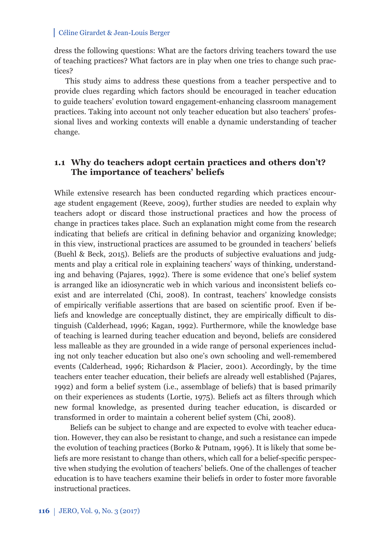dress the following questions: What are the factors driving teachers toward the use of teaching practices? What factors are in play when one tries to change such practices?

This study aims to address these questions from a teacher perspective and to provide clues regarding which factors should be encouraged in teacher education to guide teachers' evolution toward engagement-enhancing classroom management practices. Taking into account not only teacher education but also teachers' professional lives and working contexts will enable a dynamic understanding of teacher change.

### **1.1 Why do teachers adopt certain practices and others don't? The importance of teachers' beliefs**

While extensive research has been conducted regarding which practices encourage student engagement (Reeve, 2009), further studies are needed to explain why teachers adopt or discard those instructional practices and how the process of change in practices takes place. Such an explanation might come from the research indicating that beliefs are critical in defining behavior and organizing knowledge; in this view, instructional practices are assumed to be grounded in teachers' beliefs (Buehl & Beck, 2015). Beliefs are the products of subjective evaluations and judgments and play a critical role in explaining teachers' ways of thinking, understanding and behaving (Pajares, 1992). There is some evidence that one's belief system is arranged like an idiosyncratic web in which various and inconsistent beliefs coexist and are interrelated (Chi, 2008). In contrast, teachers' knowledge consists of empirically verifiable assertions that are based on scientific proof. Even if beliefs and knowledge are conceptually distinct, they are empirically difficult to distinguish (Calderhead, 1996; Kagan, 1992). Furthermore, while the knowledge base of teaching is learned during teacher education and beyond, beliefs are considered less malleable as they are grounded in a wide range of personal experiences including not only teacher education but also one's own schooling and well-remembered events (Calderhead, 1996; Richardson & Placier, 2001). Accordingly, by the time teachers enter teacher education, their beliefs are already well established (Pajares, 1992) and form a belief system (i.e., assemblage of beliefs) that is based primarily on their experiences as students (Lortie,  $1975$ ). Beliefs act as filters through which new formal knowledge, as presented during teacher education, is discarded or transformed in order to maintain a coherent belief system (Chi, 2008).

Beliefs can be subject to change and are expected to evolve with teacher education. However, they can also be resistant to change, and such a resistance can impede the evolution of teaching practices (Borko & Putnam, 1996). It is likely that some beliefs are more resistant to change than others, which call for a belief-specific perspective when studying the evolution of teachers' beliefs. One of the challenges of teacher education is to have teachers examine their beliefs in order to foster more favorable instructional practices.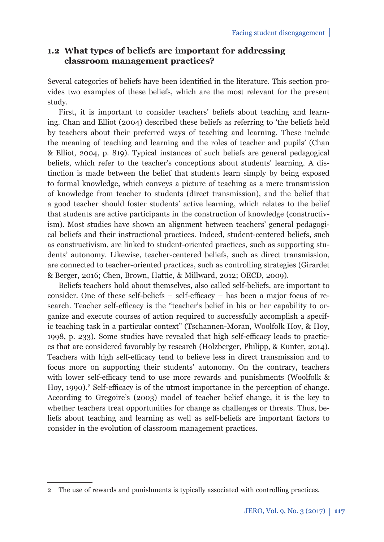# **1.2 What types of beliefs are important for addressing classroom management practices?**

Several categories of beliefs have been identified in the literature. This section provides two examples of these beliefs, which are the most relevant for the present study.

First, it is important to consider teachers' beliefs about teaching and learning. Chan and Elliot (2004) described these beliefs as referring to 'the beliefs held by teachers about their preferred ways of teaching and learning. These include the meaning of teaching and learning and the roles of teacher and pupils' (Chan & Elliot, 2004, p. 819). Typical instances of such beliefs are general pedagogical beliefs, which refer to the teacher's conceptions about students' learning. A distinction is made between the belief that students learn simply by being exposed to formal knowledge, which conveys a picture of teaching as a mere transmission of knowledge from teacher to students (direct transmission), and the belief that a good teacher should foster students' active learning, which relates to the belief that students are active participants in the construction of knowledge (constructivism). Most studies have shown an alignment between teachers' general pedagogical beliefs and their instructional practices. Indeed, student-centered beliefs, such as constructivism, are linked to student-oriented practices, such as supporting students' autonomy. Likewise, teacher-centered beliefs, such as direct transmission, are connected to teacher-oriented practices, such as controlling strategies (Girardet & Berger, 2016; Chen, Brown, Hattie, & Millward, 2012; OECD, 2009).

Beliefs teachers hold about themselves, also called self-beliefs, are important to consider. One of these self-beliefs  $-$  self-efficacy  $-$  has been a major focus of research. Teacher self-efficacy is the "teacher's belief in his or her capability to organize and execute courses of action required to successfully accomplish a specific teaching task in a particular context" (Tschannen-Moran, Woolfolk Hoy, & Hoy, 1998, p. 233). Some studies have revealed that high self-efficacy leads to practices that are considered favorably by research (Holzberger, Philipp, & Kunter, 2014). Teachers with high self-efficacy tend to believe less in direct transmission and to focus more on supporting their students' autonomy. On the contrary, teachers with lower self-efficacy tend to use more rewards and punishments (Woolfolk  $\&$ Hoy, 1990).<sup>2</sup> Self-efficacy is of the utmost importance in the perception of change. According to Gregoire's (2003) model of teacher belief change, it is the key to whether teachers treat opportunities for change as challenges or threats. Thus, beliefs about teaching and learning as well as self-beliefs are important factors to consider in the evolution of classroom management practices.

<sup>2</sup> The use of rewards and punishments is typically associated with controlling practices.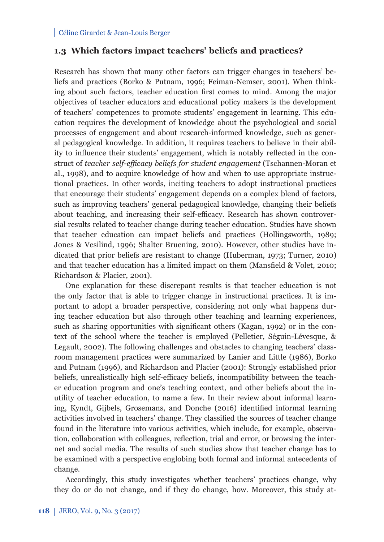## **1.3 Which factors impact teachers' beliefs and practices?**

Research has shown that many other factors can trigger changes in teachers' beliefs and practices (Borko & Putnam, 1996; Feiman-Nemser, 2001). When thinking about such factors, teacher education first comes to mind. Among the major objectives of teacher educators and educational policy makers is the development of teachers' competences to promote students' engagement in learning. This education requires the development of knowledge about the psychological and social processes of engagement and about research-informed knowledge, such as general pedagogical knowledge. In addition, it requires teachers to believe in their ability to influence their students' engagement, which is notably reflected in the construct of *teacher self-effi cacy beliefs for student engagement* (Tschannen-Moran et al., 1998), and to acquire knowledge of how and when to use appropriate instructional practices. In other words, inciting teachers to adopt instructional practices that encourage their students' engagement depends on a complex blend of factors, such as improving teachers' general pedagogical knowledge, changing their beliefs about teaching, and increasing their self-efficacy. Research has shown controversial results related to teacher change during teacher education. Studies have shown that teacher education can impact beliefs and practices (Hollingsworth, 1989; Jones & Vesilind, 1996; Shalter Bruening, 2010). However, other studies have indicated that prior beliefs are resistant to change (Huberman, 1973; Turner, 2010) and that teacher education has a limited impact on them (Mansfield  $\&$  Volet, 2010; Richardson & Placier, 2001).

One explanation for these discrepant results is that teacher education is not the only factor that is able to trigger change in instructional practices. It is important to adopt a broader perspective, considering not only what happens during teacher education but also through other teaching and learning experiences, such as sharing opportunities with significant others (Kagan, 1992) or in the context of the school where the teacher is employed (Pelletier, Séguin-Lévesque, & Legault, 2002). The following challenges and obstacles to changing teachers' classroom management practices were summarized by Lanier and Little (1986), Borko and Putnam (1996), and Richardson and Placier (2001): Strongly established prior beliefs, unrealistically high self-efficacy beliefs, incompatibility between the teacher education program and one's teaching context, and other beliefs about the inutility of teacher education, to name a few. In their review about informal learning, Kyndt, Gijbels, Grosemans, and Donche (2016) identified informal learning activities involved in teachers' change. They classified the sources of teacher change found in the literature into various activities, which include, for example, observation, collaboration with colleagues, reflection, trial and error, or browsing the internet and social media. The results of such studies show that teacher change has to be examined with a perspective englobing both formal and informal antecedents of change.

Accordingly, this study investigates whether teachers' practices change, why they do or do not change, and if they do change, how. Moreover, this study at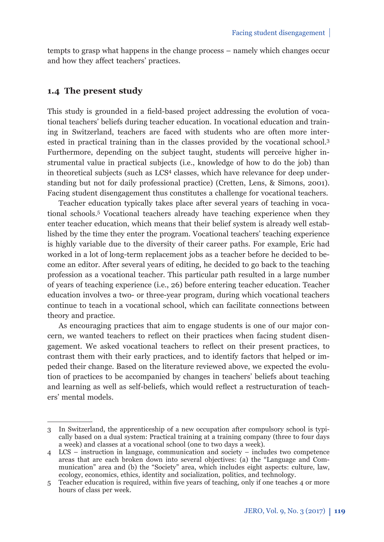tempts to grasp what happens in the change process – namely which changes occur and how they affect teachers' practices.

### **1.4 The present study**

This study is grounded in a field-based project addressing the evolution of vocational teachers' beliefs during teacher education. In vocational education and training in Switzerland, teachers are faced with students who are often more interested in practical training than in the classes provided by the vocational school.3 Furthermore, depending on the subject taught, students will perceive higher instrumental value in practical subjects (i.e., knowledge of how to do the job) than in theoretical subjects (such as LCS4 classes, which have relevance for deep understanding but not for daily professional practice) (Cretten, Lens, & Simons, 2001). Facing student disengagement thus constitutes a challenge for vocational teachers.

Teacher education typically takes place after several years of teaching in vocational schools.5 Vocational teachers already have teaching experience when they enter teacher education, which means that their belief system is already well established by the time they enter the program. Vocational teachers' teaching experience is highly variable due to the diversity of their career paths. For example, Eric had worked in a lot of long-term replacement jobs as a teacher before he decided to become an editor. After several years of editing, he decided to go back to the teaching profession as a vocational teacher. This particular path resulted in a large number of years of teaching experience (i.e., 26) before entering teacher education. Teacher education involves a two- or three-year program, during which vocational teachers continue to teach in a vocational school, which can facilitate connections between theory and practice.

As encouraging practices that aim to engage students is one of our major concern, we wanted teachers to reflect on their practices when facing student disengagement. We asked vocational teachers to reflect on their present practices, to contrast them with their early practices, and to identify factors that helped or impeded their change. Based on the literature reviewed above, we expected the evolution of practices to be accompanied by changes in teachers' beliefs about teaching and learning as well as self-beliefs, which would reflect a restructuration of teachers' mental models.

<sup>3</sup> In Switzerland, the apprenticeship of a new occupation after compulsory school is typically based on a dual system: Practical training at a training company (three to four days a week) and classes at a vocational school (one to two days a week).

<sup>4</sup> LCS – instruction in language, communication and society – includes two competence areas that are each broken down into several objectives: (a) the "Language and Communication" area and (b) the "Society" area, which includes eight aspects: culture, law, ecology, economics, ethics, identity and socialization, politics, and technology.

<sup>5</sup> Teacher education is required, within five years of teaching, only if one teaches 4 or more hours of class per week.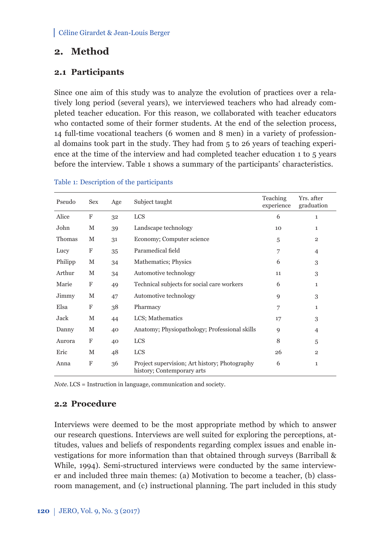# **2. Method**

# **2.1 Participants**

Since one aim of this study was to analyze the evolution of practices over a relatively long period (several years), we interviewed teachers who had already completed teacher education. For this reason, we collaborated with teacher educators who contacted some of their former students. At the end of the selection process, 14 full-time vocational teachers (6 women and 8 men) in a variety of professional domains took part in the study. They had from 5 to 26 years of teaching experience at the time of the interview and had completed teacher education 1 to 5 years before the interview. Table 1 shows a summary of the participants' characteristics.

| Pseudo  | <b>Sex</b> | Age | Subject taught                                                              | Teaching<br>experience | Yrs. after<br>graduation |
|---------|------------|-----|-----------------------------------------------------------------------------|------------------------|--------------------------|
| Alice   | F          | 32  | <b>LCS</b>                                                                  | 6                      | 1                        |
| John    | М          | 39  | Landscape technology                                                        | 10                     | $\mathbf{1}$             |
| Thomas  | M          | 31  | Economy; Computer science                                                   | 5                      | $\overline{2}$           |
| Lucy    | F          | 35  | Paramedical field                                                           | 7                      | $\overline{4}$           |
| Philipp | М          | 34  | Mathematics; Physics                                                        | 6                      | 3                        |
| Arthur  | M          | 34  | Automotive technology                                                       | 11                     | 3                        |
| Marie   | F          | 49  | Technical subjects for social care workers                                  | 6                      | $\mathbf{1}$             |
| Jimmy   | M          | 47  | Automotive technology                                                       | 9                      | 3                        |
| Elsa    | F          | 38  | Pharmacy                                                                    | 7                      | $\mathbf{1}$             |
| Jack    | М          | 44  | LCS; Mathematics                                                            | 17                     | 3                        |
| Danny   | М          | 40  | Anatomy; Physiopathology; Professional skills                               | 9                      | $\overline{4}$           |
| Aurora  | F          | 40  | <b>LCS</b>                                                                  | 8                      | 5                        |
| Eric    | M          | 48  | <b>LCS</b>                                                                  | 26                     | $\overline{2}$           |
| Anna    | F          | 36  | Project supervision; Art history; Photography<br>history; Contemporary arts | 6                      | $\mathbf{1}$             |

#### Table 1: Description of the participants

*Note*. LCS = Instruction in language, communication and society.

### **2.2 Procedure**

Interviews were deemed to be the most appropriate method by which to answer our research questions. Interviews are well suited for exploring the perceptions, attitudes, values and beliefs of respondents regarding complex issues and enable investigations for more information than that obtained through surveys (Barriball & While, 1994). Semi-structured interviews were conducted by the same interviewer and included three main themes: (a) Motivation to become a teacher, (b) classroom management, and (c) instructional planning. The part included in this study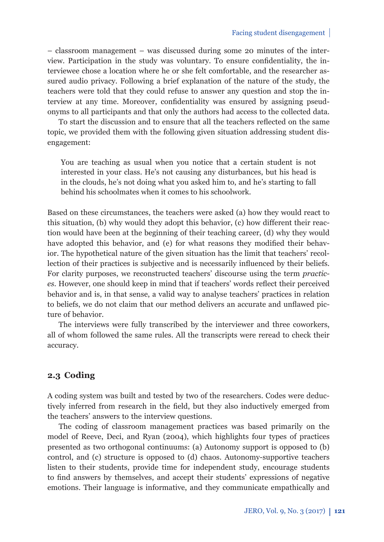– classroom management – was discussed during some 20 minutes of the interview. Participation in the study was voluntary. To ensure confidentiality, the interviewee chose a location where he or she felt comfortable, and the researcher assured audio privacy. Following a brief explanation of the nature of the study, the teachers were told that they could refuse to answer any question and stop the interview at any time. Moreover, confidentiality was ensured by assigning pseudonyms to all participants and that only the authors had access to the collected data.

To start the discussion and to ensure that all the teachers reflected on the same topic, we provided them with the following given situation addressing student disengagement:

You are teaching as usual when you notice that a certain student is not interested in your class. He's not causing any disturbances, but his head is in the clouds, he's not doing what you asked him to, and he's starting to fall behind his schoolmates when it comes to his schoolwork.

Based on these circumstances, the teachers were asked (a) how they would react to this situation,  $(b)$  why would they adopt this behavior,  $(c)$  how different their reaction would have been at the beginning of their teaching career, (d) why they would have adopted this behavior, and (e) for what reasons they modified their behavior. The hypothetical nature of the given situation has the limit that teachers' recollection of their practices is subjective and is necessarily influenced by their beliefs. For clarity purposes, we reconstructed teachers' discourse using the term *practices*. However, one should keep in mind that if teachers' words reflect their perceived behavior and is, in that sense, a valid way to analyse teachers' practices in relation to beliefs, we do not claim that our method delivers an accurate and unflawed picture of behavior.

The interviews were fully transcribed by the interviewer and three coworkers, all of whom followed the same rules. All the transcripts were reread to check their accuracy.

## **2.3 Coding**

A coding system was built and tested by two of the researchers. Codes were deductively inferred from research in the field, but they also inductively emerged from the teachers' answers to the interview questions.

The coding of classroom management practices was based primarily on the model of Reeve, Deci, and Ryan (2004), which highlights four types of practices presented as two orthogonal continuums: (a) Autonomy support is opposed to (b) control, and (c) structure is opposed to (d) chaos. Autonomy-supportive teachers listen to their students, provide time for independent study, encourage students to find answers by themselves, and accept their students' expressions of negative emotions. Their language is informative, and they communicate empathically and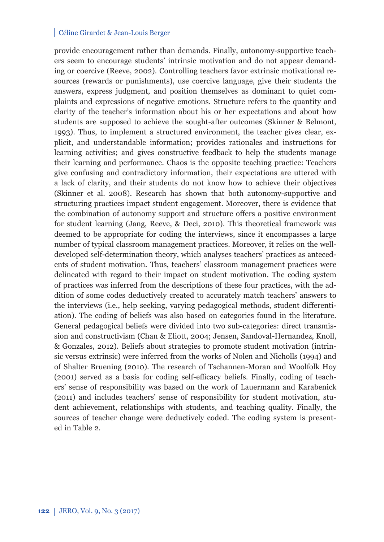provide encouragement rather than demands. Finally, autonomy-supportive teachers seem to encourage students' intrinsic motivation and do not appear demanding or coercive (Reeve, 2002). Controlling teachers favor extrinsic motivational resources (rewards or punishments), use coercive language, give their students the answers, express judgment, and position themselves as dominant to quiet complaints and expressions of negative emotions. Structure refers to the quantity and clarity of the teacher's information about his or her expectations and about how students are supposed to achieve the sought-after outcomes (Skinner & Belmont, 1993). Thus, to implement a structured environment, the teacher gives clear, explicit, and understandable information; provides rationales and instructions for learning activities; and gives constructive feedback to help the students manage their learning and performance. Chaos is the opposite teaching practice: Teachers give confusing and contradictory information, their expectations are uttered with a lack of clarity, and their students do not know how to achieve their objectives (Skinner et al. 2008). Research has shown that both autonomy-supportive and structuring practices impact student engagement. Moreover, there is evidence that the combination of autonomy support and structure offers a positive environment for student learning (Jang, Reeve, & Deci, 2010). This theoretical framework was deemed to be appropriate for coding the interviews, since it encompasses a large number of typical classroom management practices. Moreover, it relies on the welldeveloped self-determination theory, which analyses teachers' practices as antecedents of student motivation. Thus, teachers' classroom management practices were delineated with regard to their impact on student motivation. The coding system of practices was inferred from the descriptions of these four practices, with the addition of some codes deductively created to accurately match teachers' answers to the interviews (i.e., help seeking, varying pedagogical methods, student differentiation). The coding of beliefs was also based on categories found in the literature. General pedagogical beliefs were divided into two sub-categories: direct transmission and constructivism (Chan & Eliott, 2004; Jensen, Sandoval-Hernandez, Knoll, & Gonzales, 2012). Beliefs about strategies to promote student motivation (intrinsic versus extrinsic) were inferred from the works of Nolen and Nicholls (1994) and of Shalter Bruening (2010). The research of Tschannen-Moran and Woolfolk Hoy  $(2001)$  served as a basis for coding self-efficacy beliefs. Finally, coding of teachers' sense of responsibility was based on the work of Lauermann and Karabenick (2011) and includes teachers' sense of responsibility for student motivation, student achievement, relationships with students, and teaching quality. Finally, the sources of teacher change were deductively coded. The coding system is presented in Table 2.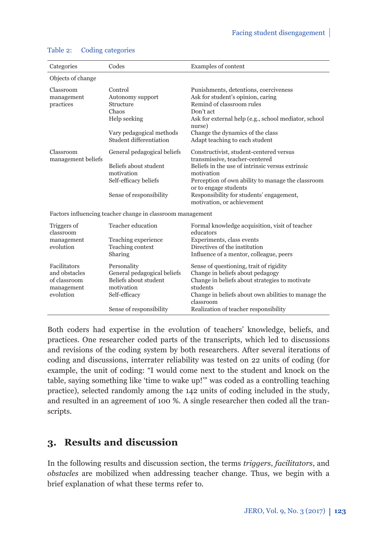| Categories                                                               | Codes                                                                                                                         | Examples of content                                                                                                                                                                                                                                                                                 |
|--------------------------------------------------------------------------|-------------------------------------------------------------------------------------------------------------------------------|-----------------------------------------------------------------------------------------------------------------------------------------------------------------------------------------------------------------------------------------------------------------------------------------------------|
| Objects of change                                                        |                                                                                                                               |                                                                                                                                                                                                                                                                                                     |
| Classroom<br>management<br>practices                                     | Control<br>Autonomy support<br>Structure<br>Chaos<br>Help seeking<br>Vary pedagogical methods<br>Student differentiation      | Punishments, detentions, coerciveness<br>Ask for student's opinion, caring<br>Remind of classroom rules<br>Don't act<br>Ask for external help (e.g., school mediator, school<br>nurse)<br>Change the dynamics of the class<br>Adapt teaching to each student                                        |
| Classroom<br>management beliefs                                          | General pedagogical beliefs<br>Beliefs about student<br>motivation<br>Self-efficacy beliefs<br>Sense of responsibility        | Constructivist, student-centered versus<br>transmissive, teacher-centered<br>Beliefs in the use of intrinsic versus extrinsic<br>motivation<br>Perception of own ability to manage the classroom<br>or to engage students<br>Responsibility for students' engagement,<br>motivation, or achievement |
|                                                                          | Factors influencing teacher change in classroom management                                                                    |                                                                                                                                                                                                                                                                                                     |
| Triggers of<br>classroom<br>management<br>evolution                      | Teacher education<br>Teaching experience<br>Teaching context<br>Sharing                                                       | Formal knowledge acquisition, visit of teacher<br>educators<br>Experiments, class events<br>Directives of the institution<br>Influence of a mentor, colleague, peers                                                                                                                                |
| Facilitators<br>and obstacles<br>of classroom<br>management<br>evolution | Personality<br>General pedagogical beliefs<br>Beliefs about student<br>motivation<br>Self-efficacy<br>Sense of responsibility | Sense of questioning, trait of rigidity<br>Change in beliefs about pedagogy<br>Change in beliefs about strategies to motivate<br>students<br>Change in beliefs about own abilities to manage the<br>classroom<br>Realization of teacher responsibility                                              |

### Table 2: Coding categories

Both coders had expertise in the evolution of teachers' knowledge, beliefs, and practices. One researcher coded parts of the transcripts, which led to discussions and revisions of the coding system by both researchers. After several iterations of coding and discussions, interrater reliability was tested on 22 units of coding (for example, the unit of coding: "I would come next to the student and knock on the table, saying something like 'time to wake up!'" was coded as a controlling teaching practice), selected randomly among the 142 units of coding included in the study, and resulted in an agreement of 100 %. A single researcher then coded all the transcripts.

# **3. Results and discussion**

In the following results and discussion section, the terms *triggers*, *facilitators*, and *obstacles* are mobilized when addressing teacher change. Thus, we begin with a brief explanation of what these terms refer to.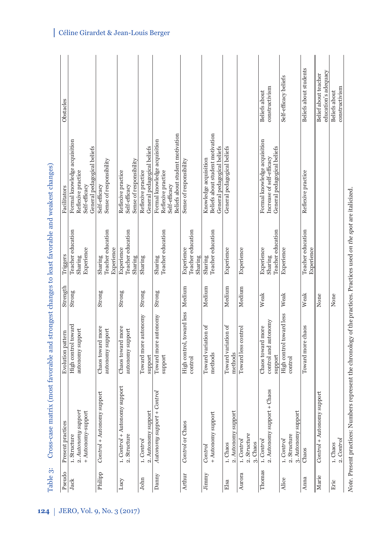| Pseudo  | Present practices                                         | Evolution pattern                                    | Strength | Triggers                                   | Facilitators                                                                                            | Obstacles                                    |
|---------|-----------------------------------------------------------|------------------------------------------------------|----------|--------------------------------------------|---------------------------------------------------------------------------------------------------------|----------------------------------------------|
| Jack    | 2. Autonomy support<br>+ Autonomy-support<br>1. Structure | High control toward<br>autonomy support              | Strong   | Teacher education<br>Experience<br>Sharing | Formal knowledge acquisition<br>General pedagogical beliefs<br>Reflexive practice<br>Self-efficacy      |                                              |
| Philipp | support<br>Control + Autonomy                             | Chaos toward more<br>autonomy support                | Strong   | Teacher education<br>Experience<br>Sharing | Sense of responsibility<br>Self-efficacy                                                                |                                              |
| Lucy    | 1. Control + Autonomy support<br>2. Structure             | Chaos toward more<br>autonomy support                | Strong   | Teacher education<br>Experience<br>Sharing | Sense of responsibility<br>Reflexive practice<br>Self-efficacy                                          |                                              |
| John    | 2. Autonomy support<br>1. Control                         | Toward more autonomy<br>support                      | Strong   | Sharing                                    | General pedagogical beliefs<br>Reflexive practice                                                       |                                              |
| Danny   | Control<br>Autonomy support +                             | Toward more autonomy<br>support                      | Strong   | Sharing<br>Teacher education               | Beliefs about student motivation<br>Formal knowledge acquisition<br>Reflexive practice<br>Self-efficacy |                                              |
| Arthur  | Control or Chaos                                          | High control, toward less Medium<br>control          |          | Teacher education<br>Experience<br>Sharing | Sense of responsibility                                                                                 |                                              |
| Jimmy   | + Autonomy support<br>Control                             | Toward variation of<br>methods                       | Medium   | Teacher education<br>Sharing               | Beliefs about student motivation<br>General pedagogical beliefs<br>Knowledge acquisition                |                                              |
| Elsa    | 2. Autonomy support<br>1. Chaos                           | Toward variation of<br>methods                       | Medium   | Experience                                 | General pedagogical beliefs                                                                             |                                              |
| Aurora  | 2. Structure<br>1. Control<br>3. Chaos                    | Toward less control                                  | Medium   | Experience                                 |                                                                                                         |                                              |
| Thomas  | $+$ Chaos<br>2. Autonomy support<br>1. Control            | control and autonomy<br>Chaos toward more<br>support | Weak     | Teacher education<br>Experience<br>Sharing | Formal knowledge acquisition<br>General pedagogical beliefs<br>Increase of self-efficacy                | constructivism<br>Beliefs about              |
| Alice   | 3. Autonomy support<br>2. Structure<br>1. Control         | High control toward less<br>control                  | Weak     | Experience                                 |                                                                                                         | Self-efficacy beliefs                        |
| Anna    | Chaos                                                     | Toward more chaos                                    | Weak     | Teacher education<br>Experience            | Reflexive practice                                                                                      | Beliefs about students                       |
| Marie   | support<br>Control + Autonomy                             |                                                      | None     |                                            |                                                                                                         | education's adequacy<br>Belief about teacher |
| Eric    | 2. Control<br>1. Chaos                                    |                                                      | None     |                                            |                                                                                                         | constructivism<br>Beliefs about              |

Note. Present practices: Numbers represent the chronology of the practices. Practices used on the spot are italicized. *Note*. Present practices: Numbers represent the chronology of the practices. Practices used *on the spot* are italicized.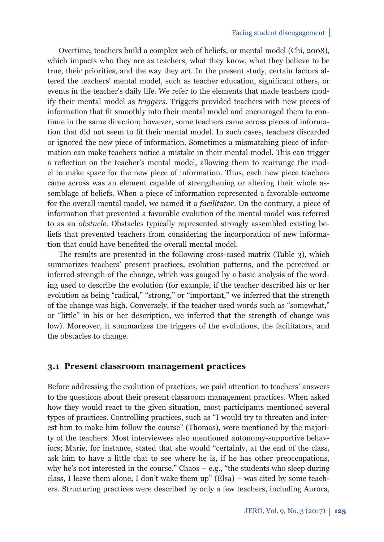Overtime, teachers build a complex web of beliefs, or mental model (Chi, 2008), which impacts who they are as teachers, what they know, what they believe to be true, their priorities, and the way they act. In the present study, certain factors altered the teachers' mental model, such as teacher education, significant others, or events in the teacher's daily life. We refer to the elements that made teachers modify their mental model as *triggers*. Triggers provided teachers with new pieces of information that fit smoothly into their mental model and encouraged them to continue in the same direction; however, some teachers came across pieces of information that did not seem to fi t their mental model. In such cases, teachers discarded or ignored the new piece of information. Sometimes a mismatching piece of information can make teachers notice a mistake in their mental model. This can trigger a reflection on the teacher's mental model, allowing them to rearrange the model to make space for the new piece of information. Thus, each new piece teachers came across was an element capable of strengthening or altering their whole assemblage of beliefs. When a piece of information represented a favorable outcome for the overall mental model, we named it a *facilitator*. On the contrary, a piece of information that prevented a favorable evolution of the mental model was referred to as an *obstacle*. Obstacles typically represented strongly assembled existing beliefs that prevented teachers from considering the incorporation of new information that could have benefited the overall mental model.

The results are presented in the following cross-cased matrix (Table 3), which summarizes teachers' present practices, evolution patterns, and the perceived or inferred strength of the change, which was gauged by a basic analysis of the wording used to describe the evolution (for example, if the teacher described his or her evolution as being "radical," "strong," or "important," we inferred that the strength of the change was high. Conversely, if the teacher used words such as "somewhat," or "little" in his or her description, we inferred that the strength of change was low). Moreover, it summarizes the triggers of the evolutions, the facilitators, and the obstacles to change.

## **3.1 Present classroom management practices**

Before addressing the evolution of practices, we paid attention to teachers' answers to the questions about their present classroom management practices. When asked how they would react to the given situation, most participants mentioned several types of practices. Controlling practices, such as "I would try to threaten and interest him to make him follow the course" (Thomas), were mentioned by the majority of the teachers. Most interviewees also mentioned autonomy-supportive behaviors; Marie, for instance, stated that she would "certainly, at the end of the class, ask him to have a little chat to see where he is, if he has other preoccupations, why he's not interested in the course." Chaos – e.g., "the students who sleep during class, I leave them alone, I don't wake them up" (Elsa) – was cited by some teachers. Structuring practices were described by only a few teachers, including Aurora,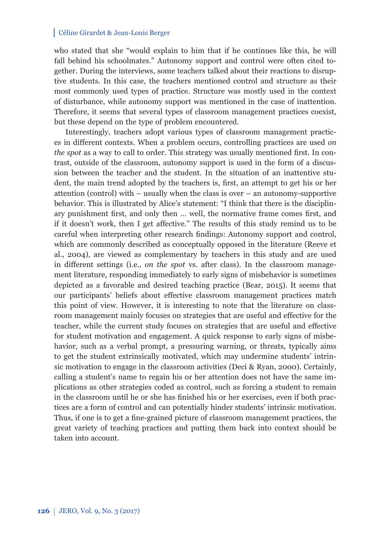who stated that she "would explain to him that if he continues like this, he will fall behind his schoolmates." Autonomy support and control were often cited together. During the interviews, some teachers talked about their reactions to disruptive students. In this case, the teachers mentioned control and structure as their most commonly used types of practice. Structure was mostly used in the context of disturbance, while autonomy support was mentioned in the case of inattention. Therefore, it seems that several types of classroom management practices coexist, but these depend on the type of problem encountered.

Interestingly, teachers adopt various types of classroom management practices in different contexts. When a problem occurs, controlling practices are used *on the spot* as a way to call to order. This strategy was usually mentioned first. In contrast, outside of the classroom, autonomy support is used in the form of a discussion between the teacher and the student. In the situation of an inattentive student, the main trend adopted by the teachers is, first, an attempt to get his or her attention (control) with – usually when the class is over – an autonomy-supportive behavior. This is illustrated by Alice's statement: "I think that there is the disciplinary punishment first, and only then ... well, the normative frame comes first, and if it doesn't work, then I get affective." The results of this study remind us to be careful when interpreting other research findings: Autonomy support and control, which are commonly described as conceptually opposed in the literature (Reeve et al., 2004), are viewed as complementary by teachers in this study and are used in different settings (i.e., *on the spot* vs. after class). In the classroom management literature, responding immediately to early signs of misbehavior is sometimes depicted as a favorable and desired teaching practice (Bear, 2015). It seems that our participants' beliefs about effective classroom management practices match this point of view. However, it is interesting to note that the literature on classroom management mainly focuses on strategies that are useful and effective for the teacher, while the current study focuses on strategies that are useful and effective for student motivation and engagement. A quick response to early signs of misbehavior, such as a verbal prompt, a pressuring warning, or threats, typically aims to get the student extrinsically motivated, which may undermine students' intrinsic motivation to engage in the classroom activities (Deci & Ryan, 2000). Certainly, calling a student's name to regain his or her attention does not have the same implications as other strategies coded as control, such as forcing a student to remain in the classroom until he or she has finished his or her exercises, even if both practices are a form of control and can potentially hinder students' intrinsic motivation. Thus, if one is to get a fine-grained picture of classroom management practices, the great variety of teaching practices and putting them back into context should be taken into account.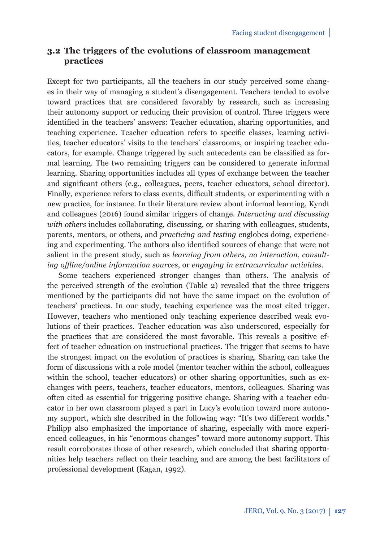## **3.2 The triggers of the evolutions of classroom management practices**

Except for two participants, all the teachers in our study perceived some changes in their way of managing a student's disengagement. Teachers tended to evolve toward practices that are considered favorably by research, such as increasing their autonomy support or reducing their provision of control. Three triggers were identified in the teachers' answers: Teacher education, sharing opportunities, and teaching experience. Teacher education refers to specific classes, learning activities, teacher educators' visits to the teachers' classrooms, or inspiring teacher educators, for example. Change triggered by such antecedents can be classified as formal learning. The two remaining triggers can be considered to generate informal learning. Sharing opportunities includes all types of exchange between the teacher and significant others (e.g., colleagues, peers, teacher educators, school director). Finally, experience refers to class events, difficult students, or experimenting with a new practice, for instance. In their literature review about informal learning, Kyndt and colleagues (2016) found similar triggers of change. *Interacting and discussing with others* includes collaborating, discussing, or sharing with colleagues, students, parents, mentors, or others, and *practicing and testing* englobes doing, experiencing and experimenting. The authors also identified sources of change that were not salient in the present study, such as *learning from others, no interaction*, *consulting offl ine/online information sources*, or *engaging in extracurricular activities*.

Some teachers experienced stronger changes than others. The analysis of the perceived strength of the evolution (Table 2) revealed that the three triggers mentioned by the participants did not have the same impact on the evolution of teachers' practices. In our study, teaching experience was the most cited trigger. However, teachers who mentioned only teaching experience described weak evolutions of their practices. Teacher education was also underscored, especially for the practices that are considered the most favorable. This reveals a positive effect of teacher education on instructional practices. The trigger that seems to have the strongest impact on the evolution of practices is sharing. Sharing can take the form of discussions with a role model (mentor teacher within the school, colleagues within the school, teacher educators) or other sharing opportunities, such as exchanges with peers, teachers, teacher educators, mentors, colleagues. Sharing was often cited as essential for triggering positive change. Sharing with a teacher educator in her own classroom played a part in Lucy's evolution toward more autonomy support, which she described in the following way: "It's two different worlds." Philipp also emphasized the importance of sharing, especially with more experienced colleagues, in his "enormous changes" toward more autonomy support. This result corroborates those of other research, which concluded that sharing opportunities help teachers reflect on their teaching and are among the best facilitators of professional development (Kagan, 1992).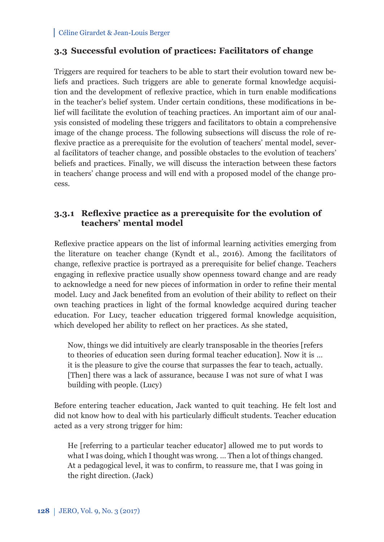## **3.3 Successful evolution of practices: Facilitators of change**

Triggers are required for teachers to be able to start their evolution toward new beliefs and practices. Such triggers are able to generate formal knowledge acquisition and the development of reflexive practice, which in turn enable modifications in the teacher's belief system. Under certain conditions, these modifications in belief will facilitate the evolution of teaching practices. An important aim of our analysis consisted of modeling these triggers and facilitators to obtain a comprehensive image of the change process. The following subsections will discuss the role of reflexive practice as a prerequisite for the evolution of teachers' mental model, several facilitators of teacher change, and possible obstacles to the evolution of teachers' beliefs and practices. Finally, we will discuss the interaction between these factors in teachers' change process and will end with a proposed model of the change process.

## **3.3.1 Reflexive practice as a prerequisite for the evolution of teachers' mental model**

Reflexive practice appears on the list of informal learning activities emerging from the literature on teacher change (Kyndt et al., 2016). Among the facilitators of change, reflexive practice is portrayed as a prerequisite for belief change. Teachers engaging in reflexive practice usually show openness toward change and are ready to acknowledge a need for new pieces of information in order to refine their mental model. Lucy and Jack benefited from an evolution of their ability to reflect on their own teaching practices in light of the formal knowledge acquired during teacher education. For Lucy, teacher education triggered formal knowledge acquisition, which developed her ability to reflect on her practices. As she stated,

Now, things we did intuitively are clearly transposable in the theories [refers to theories of education seen during formal teacher education]. Now it is … it is the pleasure to give the course that surpasses the fear to teach, actually. [Then] there was a lack of assurance, because I was not sure of what I was building with people. (Lucy)

Before entering teacher education, Jack wanted to quit teaching. He felt lost and did not know how to deal with his particularly difficult students. Teacher education acted as a very strong trigger for him:

He [referring to a particular teacher educator] allowed me to put words to what I was doing, which I thought was wrong. … Then a lot of things changed. At a pedagogical level, it was to confirm, to reassure me, that I was going in the right direction. (Jack)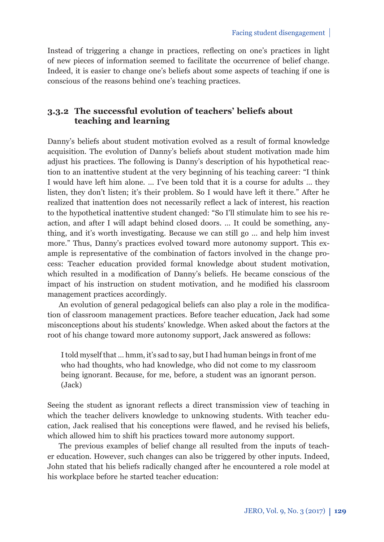Instead of triggering a change in practices, reflecting on one's practices in light of new pieces of information seemed to facilitate the occurrence of belief change. Indeed, it is easier to change one's beliefs about some aspects of teaching if one is conscious of the reasons behind one's teaching practices.

## **3.3.2 The successful evolution of teachers' beliefs about teaching and learning**

Danny's beliefs about student motivation evolved as a result of formal knowledge acquisition. The evolution of Danny's beliefs about student motivation made him adjust his practices. The following is Danny's description of his hypothetical reaction to an inattentive student at the very beginning of his teaching career: "I think I would have left him alone. … I've been told that it is a course for adults … they listen, they don't listen; it's their problem. So I would have left it there." After he realized that inattention does not necessarily reflect a lack of interest, his reaction to the hypothetical inattentive student changed: "So I'll stimulate him to see his reaction, and after I will adapt behind closed doors. … It could be something, anything, and it's worth investigating. Because we can still go … and help him invest more." Thus, Danny's practices evolved toward more autonomy support. This example is representative of the combination of factors involved in the change process: Teacher education provided formal knowledge about student motivation, which resulted in a modification of Danny's beliefs. He became conscious of the impact of his instruction on student motivation, and he modified his classroom management practices accordingly.

An evolution of general pedagogical beliefs can also play a role in the modification of classroom management practices. Before teacher education, Jack had some misconceptions about his students' knowledge. When asked about the factors at the root of his change toward more autonomy support, Jack answered as follows:

I told myself that … hmm, it's sad to say, but I had human beings in front of me who had thoughts, who had knowledge, who did not come to my classroom being ignorant. Because, for me, before, a student was an ignorant person. (Jack)

Seeing the student as ignorant reflects a direct transmission view of teaching in which the teacher delivers knowledge to unknowing students. With teacher education, Jack realised that his conceptions were flawed, and he revised his beliefs, which allowed him to shift his practices toward more autonomy support.

The previous examples of belief change all resulted from the inputs of teacher education. However, such changes can also be triggered by other inputs. Indeed, John stated that his beliefs radically changed after he encountered a role model at his workplace before he started teacher education: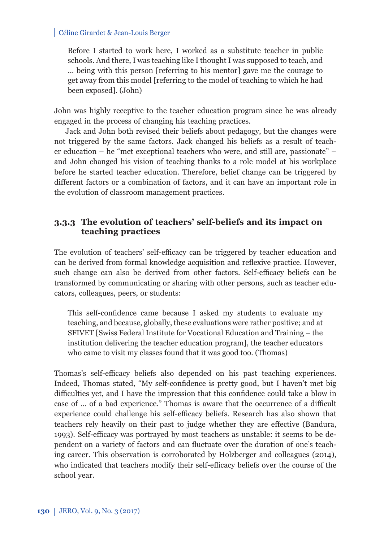Before I started to work here, I worked as a substitute teacher in public schools. And there, I was teaching like I thought I was supposed to teach, and … being with this person [referring to his mentor] gave me the courage to get away from this model [referring to the model of teaching to which he had been exposed]. (John)

John was highly receptive to the teacher education program since he was already engaged in the process of changing his teaching practices.

Jack and John both revised their beliefs about pedagogy, but the changes were not triggered by the same factors. Jack changed his beliefs as a result of teacher education – he "met exceptional teachers who were, and still are, passionate" – and John changed his vision of teaching thanks to a role model at his workplace before he started teacher education. Therefore, belief change can be triggered by different factors or a combination of factors, and it can have an important role in the evolution of classroom management practices.

## **3.3.3 The evolution of teachers' self-beliefs and its impact on teaching practices**

The evolution of teachers' self-efficacy can be triggered by teacher education and can be derived from formal knowledge acquisition and reflexive practice. However, such change can also be derived from other factors. Self-efficacy beliefs can be transformed by communicating or sharing with other persons, such as teacher educators, colleagues, peers, or students:

This self-confidence came because I asked my students to evaluate my teaching, and because, globally, these evaluations were rather positive; and at SFIVET [Swiss Federal Institute for Vocational Education and Training – the institution delivering the teacher education program], the teacher educators who came to visit my classes found that it was good too. (Thomas)

Thomas's self-efficacy beliefs also depended on his past teaching experiences. Indeed, Thomas stated, "My self-confidence is pretty good, but I haven't met big difficulties yet, and I have the impression that this confidence could take a blow in case of ... of a bad experience." Thomas is aware that the occurrence of a difficult experience could challenge his self-efficacy beliefs. Research has also shown that teachers rely heavily on their past to judge whether they are effective (Bandura, 1993). Self-efficacy was portrayed by most teachers as unstable: it seems to be dependent on a variety of factors and can fluctuate over the duration of one's teaching career. This observation is corroborated by Holzberger and colleagues (2014), who indicated that teachers modify their self-efficacy beliefs over the course of the school year.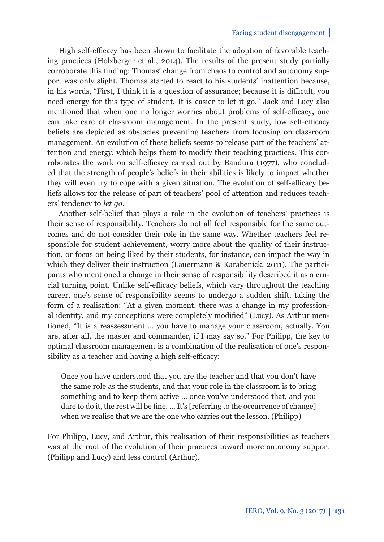High self-efficacy has been shown to facilitate the adoption of favorable teaching practices (Holzberger et al., 2014). The results of the present study partially corroborate this finding: Thomas' change from chaos to control and autonomy support was only slight. Thomas started to react to his students' inattention because, in his words, "First, I think it is a question of assurance; because it is difficult, you need energy for this type of student. It is easier to let it go." Jack and Lucy also mentioned that when one no longer worries about problems of self-efficacy, one can take care of classroom management. In the present study, low self-efficacy beliefs are depicted as obstacles preventing teachers from focusing on classroom management. An evolution of these beliefs seems to release part of the teachers' attention and energy, which helps them to modify their teaching practices. This corroborates the work on self-efficacy carried out by Bandura (1977), who concluded that the strength of people's beliefs in their abilities is likely to impact whether they will even try to cope with a given situation. The evolution of self-efficacy beliefs allows for the release of part of teachers' pool of attention and reduces teachers' tendency to *let go*.

Another self-belief that plays a role in the evolution of teachers' practices is their sense of responsibility. Teachers do not all feel responsible for the same outcomes and do not consider their role in the same way. Whether teachers feel responsible for student achievement, worry more about the quality of their instruction, or focus on being liked by their students, for instance, can impact the way in which they deliver their instruction (Lauermann & Karabenick, 2011). The participants who mentioned a change in their sense of responsibility described it as a crucial turning point. Unlike self-efficacy beliefs, which vary throughout the teaching career, one's sense of responsibility seems to undergo a sudden shift, taking the form of a realisation: "At a given moment, there was a change in my professional identity, and my conceptions were completely modified" (Lucy). As Arthur mentioned, "It is a reassessment … you have to manage your classroom, actually. You are, after all, the master and commander, if I may say so." For Philipp, the key to optimal classroom management is a combination of the realisation of one's responsibility as a teacher and having a high self-efficacy:

Once you have understood that you are the teacher and that you don't have the same role as the students, and that your role in the classroom is to bring something and to keep them active … once you've understood that, and you dare to do it, the rest will be fine. ... It's [referring to the occurrence of change] when we realise that we are the one who carries out the lesson. (Philipp)

For Philipp, Lucy, and Arthur, this realisation of their responsibilities as teachers was at the root of the evolution of their practices toward more autonomy support (Philipp and Lucy) and less control (Arthur).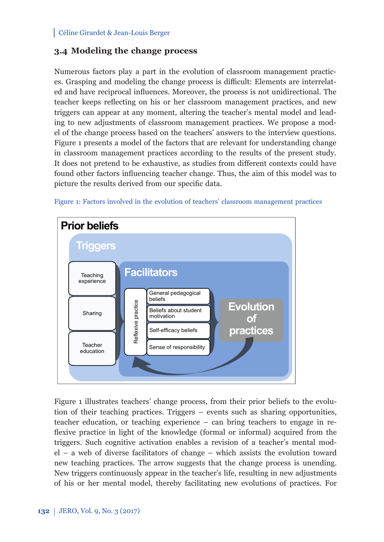# **3.4 Modeling the change process**

Numerous factors play a part in the evolution of classroom management practices. Grasping and modeling the change process is difficult: Elements are interrelated and have reciprocal influences. Moreover, the process is not unidirectional. The teacher keeps reflecting on his or her classroom management practices, and new triggers can appear at any moment, altering the teacher's mental model and leading to new adjustments of classroom management practices. We propose a model of the change process based on the teachers' answers to the interview questions. Figure 1 presents a model of the factors that are relevant for understanding change in classroom management practices according to the results of the present study. It does not pretend to be exhaustive, as studies from different contexts could have found other factors influencing teacher change. Thus, the aim of this model was to picture the results derived from our specific data.



Figure 1: Factors involved in the evolution of teachers' classroom management practices

Figure 1 illustrates teachers' change process, from their prior beliefs to the evolution of their teaching practices. Triggers – events such as sharing opportunities, teacher education, or teaching experience – can bring teachers to engage in reflexive practice in light of the knowledge (formal or informal) acquired from the triggers. Such cognitive activation enables a revision of a teacher's mental model – a web of diverse facilitators of change – which assists the evolution toward new teaching practices. The arrow suggests that the change process is unending. New triggers continuously appear in the teacher's life, resulting in new adjustments of his or her mental model, thereby facilitating new evolutions of practices. For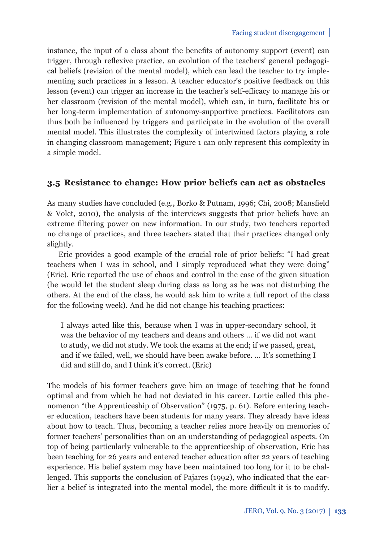instance, the input of a class about the benefits of autonomy support (event) can trigger, through reflexive practice, an evolution of the teachers' general pedagogical beliefs (revision of the mental model), which can lead the teacher to try implementing such practices in a lesson. A teacher educator's positive feedback on this lesson (event) can trigger an increase in the teacher's self-efficacy to manage his or her classroom (revision of the mental model), which can, in turn, facilitate his or her long-term implementation of autonomy-supportive practices. Facilitators can thus both be influenced by triggers and participate in the evolution of the overall mental model. This illustrates the complexity of intertwined factors playing a role in changing classroom management; Figure 1 can only represent this complexity in a simple model.

## **3.5 Resistance to change: How prior beliefs can act as obstacles**

As many studies have concluded (e.g., Borko & Putnam, 1996; Chi, 2008; Mansfield & Volet, 2010), the analysis of the interviews suggests that prior beliefs have an extreme filtering power on new information. In our study, two teachers reported no change of practices, and three teachers stated that their practices changed only slightly.

Eric provides a good example of the crucial role of prior beliefs: "I had great teachers when I was in school, and I simply reproduced what they were doing" (Eric). Eric reported the use of chaos and control in the case of the given situation (he would let the student sleep during class as long as he was not disturbing the others. At the end of the class, he would ask him to write a full report of the class for the following week). And he did not change his teaching practices:

I always acted like this, because when I was in upper-secondary school, it was the behavior of my teachers and deans and others … if we did not want to study, we did not study. We took the exams at the end; if we passed, great, and if we failed, well, we should have been awake before. … It's something I did and still do, and I think it's correct. (Eric)

The models of his former teachers gave him an image of teaching that he found optimal and from which he had not deviated in his career. Lortie called this phenomenon "the Apprenticeship of Observation" (1975, p. 61). Before entering teacher education, teachers have been students for many years. They already have ideas about how to teach. Thus, becoming a teacher relies more heavily on memories of former teachers' personalities than on an understanding of pedagogical aspects. On top of being particularly vulnerable to the apprenticeship of observation, Eric has been teaching for 26 years and entered teacher education after 22 years of teaching experience. His belief system may have been maintained too long for it to be challenged. This supports the conclusion of Pajares (1992), who indicated that the earlier a belief is integrated into the mental model, the more difficult it is to modify.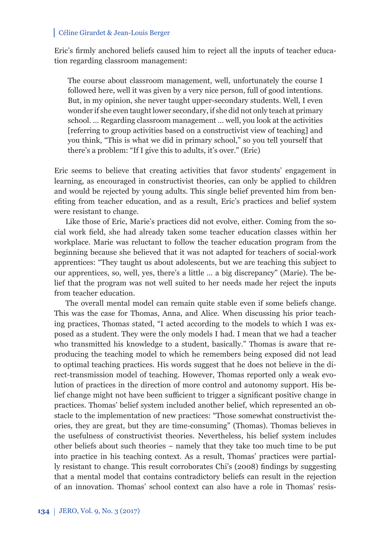Eric's firmly anchored beliefs caused him to reject all the inputs of teacher education regarding classroom management:

The course about classroom management, well, unfortunately the course I followed here, well it was given by a very nice person, full of good intentions. But, in my opinion, she never taught upper-secondary students. Well, I even wonder if she even taught lower secondary, if she did not only teach at primary school. … Regarding classroom management … well, you look at the activities [referring to group activities based on a constructivist view of teaching] and you think, "This is what we did in primary school," so you tell yourself that there's a problem: "If I give this to adults, it's over." (Eric)

Eric seems to believe that creating activities that favor students' engagement in learning, as encouraged in constructivist theories, can only be applied to children and would be rejected by young adults. This single belief prevented him from benefiting from teacher education, and as a result, Eric's practices and belief system were resistant to change.

Like those of Eric, Marie's practices did not evolve, either. Coming from the social work field, she had already taken some teacher education classes within her workplace. Marie was reluctant to follow the teacher education program from the beginning because she believed that it was not adapted for teachers of social-work apprentices: "They taught us about adolescents, but we are teaching this subject to our apprentices, so, well, yes, there's a little … a big discrepancy" (Marie). The belief that the program was not well suited to her needs made her reject the inputs from teacher education.

The overall mental model can remain quite stable even if some beliefs change. This was the case for Thomas, Anna, and Alice. When discussing his prior teaching practices, Thomas stated, "I acted according to the models to which I was exposed as a student. They were the only models I had. I mean that we had a teacher who transmitted his knowledge to a student, basically." Thomas is aware that reproducing the teaching model to which he remembers being exposed did not lead to optimal teaching practices. His words suggest that he does not believe in the direct-transmission model of teaching. However, Thomas reported only a weak evolution of practices in the direction of more control and autonomy support. His belief change might not have been sufficient to trigger a significant positive change in practices. Thomas' belief system included another belief, which represented an obstacle to the implementation of new practices: "Those somewhat constructivist theories, they are great, but they are time-consuming" (Thomas). Thomas believes in the usefulness of constructivist theories. Nevertheless, his belief system includes other beliefs about such theories – namely that they take too much time to be put into practice in his teaching context. As a result, Thomas' practices were partially resistant to change. This result corroborates Chi's (2008) findings by suggesting that a mental model that contains contradictory beliefs can result in the rejection of an innovation. Thomas' school context can also have a role in Thomas' resis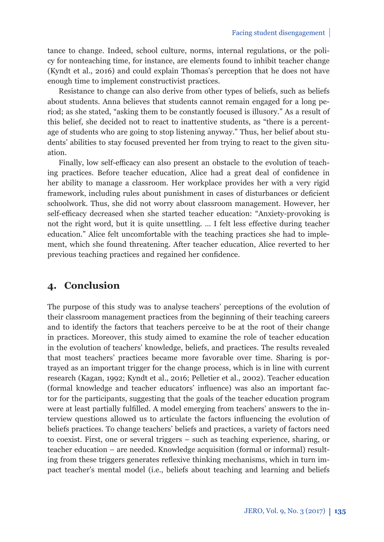tance to change. Indeed, school culture, norms, internal regulations, or the policy for nonteaching time, for instance, are elements found to inhibit teacher change (Kyndt et al., 2016) and could explain Thomas's perception that he does not have enough time to implement constructivist practices.

Resistance to change can also derive from other types of beliefs, such as beliefs about students. Anna believes that students cannot remain engaged for a long period; as she stated, "asking them to be constantly focused is illusory." As a result of this belief, she decided not to react to inattentive students, as "there is a percentage of students who are going to stop listening anyway." Thus, her belief about students' abilities to stay focused prevented her from trying to react to the given situation.

Finally, low self-efficacy can also present an obstacle to the evolution of teaching practices. Before teacher education, Alice had a great deal of confidence in her ability to manage a classroom. Her workplace provides her with a very rigid framework, including rules about punishment in cases of disturbances or deficient schoolwork. Thus, she did not worry about classroom management. However, her self-efficacy decreased when she started teacher education: "Anxiety-provoking is not the right word, but it is quite unsettling. ... I felt less effective during teacher education." Alice felt uncomfortable with the teaching practices she had to implement, which she found threatening. After teacher education, Alice reverted to her previous teaching practices and regained her confidence.

# **4. Conclusion**

The purpose of this study was to analyse teachers' perceptions of the evolution of their classroom management practices from the beginning of their teaching careers and to identify the factors that teachers perceive to be at the root of their change in practices. Moreover, this study aimed to examine the role of teacher education in the evolution of teachers' knowledge, beliefs, and practices. The results revealed that most teachers' practices became more favorable over time. Sharing is portrayed as an important trigger for the change process, which is in line with current research (Kagan, 1992; Kyndt et al., 2016; Pelletier et al., 2002). Teacher education (formal knowledge and teacher educators' influence) was also an important factor for the participants, suggesting that the goals of the teacher education program were at least partially fulfilled. A model emerging from teachers' answers to the interview questions allowed us to articulate the factors influencing the evolution of beliefs practices. To change teachers' beliefs and practices, a variety of factors need to coexist. First, one or several triggers – such as teaching experience, sharing, or teacher education – are needed. Knowledge acquisition (formal or informal) resulting from these triggers generates reflexive thinking mechanisms, which in turn impact teacher's mental model (i.e., beliefs about teaching and learning and beliefs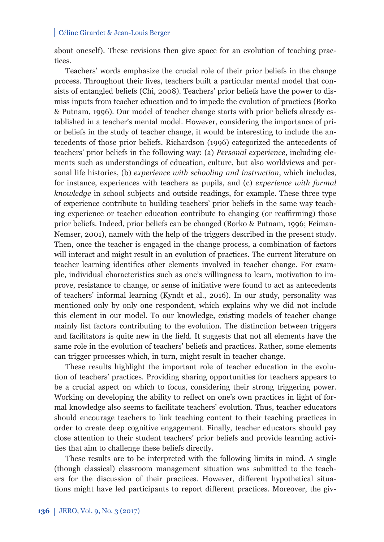about oneself). These revisions then give space for an evolution of teaching practices.

Teachers' words emphasize the crucial role of their prior beliefs in the change process. Throughout their lives, teachers built a particular mental model that consists of entangled beliefs (Chi, 2008). Teachers' prior beliefs have the power to dismiss inputs from teacher education and to impede the evolution of practices (Borko & Putnam, 1996). Our model of teacher change starts with prior beliefs already established in a teacher's mental model. However, considering the importance of prior beliefs in the study of teacher change, it would be interesting to include the antecedents of those prior beliefs. Richardson (1996) categorized the antecedents of teachers' prior beliefs in the following way: (a) *Personal experience*, including elements such as understandings of education, culture, but also worldviews and personal life histories, (b) *experience with schooling and instruction*, which includes, for instance, experiences with teachers as pupils, and (c) *experience with formal knowledge* in school subjects and outside readings, for example. These three type of experience contribute to building teachers' prior beliefs in the same way teaching experience or teacher education contribute to changing (or reaffirming) those prior beliefs. Indeed, prior beliefs can be changed (Borko & Putnam, 1996; Feiman-Nemser, 2001), namely with the help of the triggers described in the present study. Then, once the teacher is engaged in the change process, a combination of factors will interact and might result in an evolution of practices. The current literature on teacher learning identifies other elements involved in teacher change. For example, individual characteristics such as one's willingness to learn, motivation to improve, resistance to change, or sense of initiative were found to act as antecedents of teachers' informal learning (Kyndt et al., 2016). In our study, personality was mentioned only by only one respondent, which explains why we did not include this element in our model. To our knowledge, existing models of teacher change mainly list factors contributing to the evolution. The distinction between triggers and facilitators is quite new in the field. It suggests that not all elements have the same role in the evolution of teachers' beliefs and practices. Rather, some elements can trigger processes which, in turn, might result in teacher change.

These results highlight the important role of teacher education in the evolution of teachers' practices. Providing sharing opportunities for teachers appears to be a crucial aspect on which to focus, considering their strong triggering power. Working on developing the ability to reflect on one's own practices in light of formal knowledge also seems to facilitate teachers' evolution. Thus, teacher educators should encourage teachers to link teaching content to their teaching practices in order to create deep cognitive engagement. Finally, teacher educators should pay close attention to their student teachers' prior beliefs and provide learning activities that aim to challenge these beliefs directly.

These results are to be interpreted with the following limits in mind. A single (though classical) classroom management situation was submitted to the teachers for the discussion of their practices. However, different hypothetical situations might have led participants to report different practices. Moreover, the giv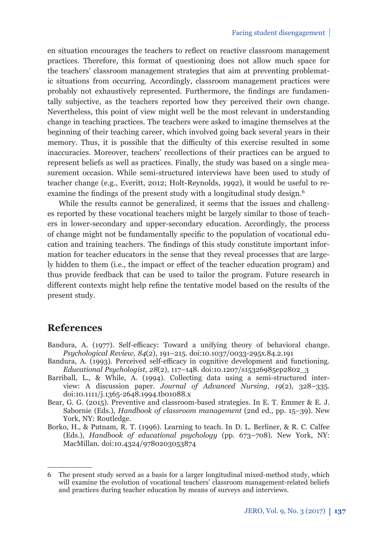en situation encourages the teachers to reflect on reactive classroom management practices. Therefore, this format of questioning does not allow much space for the teachers' classroom management strategies that aim at preventing problematic situations from occurring. Accordingly, classroom management practices were probably not exhaustively represented. Furthermore, the findings are fundamentally subjective, as the teachers reported how they perceived their own change. Nevertheless, this point of view might well be the most relevant in understanding change in teaching practices. The teachers were asked to imagine themselves at the beginning of their teaching career, which involved going back several years in their memory. Thus, it is possible that the difficulty of this exercise resulted in some inaccuracies. Moreover, teachers' recollections of their practices can be argued to represent beliefs as well as practices. Finally, the study was based on a single measurement occasion. While semi-structured interviews have been used to study of teacher change (e.g., Everitt, 2012; Holt-Reynolds, 1992), it would be useful to reexamine the findings of the present study with a longitudinal study design.<sup>6</sup>

While the results cannot be generalized, it seems that the issues and challenges reported by these vocational teachers might be largely similar to those of teachers in lower-secondary and upper-secondary education. Accordingly, the process of change might not be fundamentally specifi c to the population of vocational education and training teachers. The findings of this study constitute important information for teacher educators in the sense that they reveal processes that are largely hidden to them (i.e., the impact or effect of the teacher education program) and thus provide feedback that can be used to tailor the program. Future research in different contexts might help refine the tentative model based on the results of the present study.

# **References**

- Bandura, A. (1977). Self-efficacy: Toward a unifying theory of behavioral change. *Psychological Review, 84*(2), 191–215. doi:10.1037/0033-295x.84.2.191
- Bandura, A. (1993). Perceived self-efficacy in cognitive development and functioning. *Educational Psychologist, 28*(2), 117–148. doi:10.1207/s15326985ep2802\_3
- Barriball, L., & While, A. (1994). Collecting data using a semi-structured interview: A discussion paper. *Journal of Advanced Nursing, 19*(2), 328–335. doi:10.1111/j.1365-2648.1994.tb01088.x
- Bear, G. G. (2015). Preventive and classroom-based strategies. In E. T. Emmer & E. J. Sabornie (Eds.), *Handbook of classroom management* (2nd ed., pp. 15–39). New York, NY: Routledge.
- Borko, H., & Putnam, R. T. (1996). Learning to teach. In D. L. Berliner, & R. C. Calfee (Eds.), *Handbook of educational psychology* (pp. 673–708). New York, NY: MacMillan. doi:10.4324/9780203053874

<sup>6</sup> The present study served as a basis for a larger longitudinal mixed-method study, which will examine the evolution of vocational teachers' classroom management-related beliefs and practices during teacher education by means of surveys and interviews.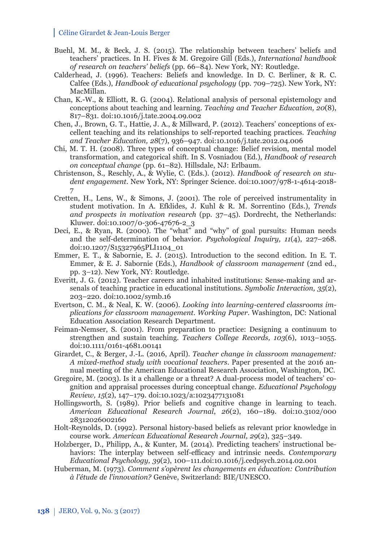- Buehl, M. M., & Beck, J. S. (2015). The relationship between teachers' beliefs and teachers' practices. In H. Fives & M. Gregoire Gill (Eds.), *International handbook of research on teachers' beliefs* (pp. 66–84). New York, NY: Routledge.
- Calderhead, J. (1996). Teachers: Beliefs and knowledge. In D. C. Berliner, & R. C. Calfee (Eds.), *Handbook of educational psychology* (pp. 709–725). New York, NY: MacMillan.
- Chan, K.-W., & Elliott, R. G. (2004). Relational analysis of personal epistemology and conceptions about teaching and learning. *Teaching and Teacher Education, 20*(8), 817–831. doi:10.1016/j.tate.2004.09.002
- Chen, J., Brown, G. T., Hattie, J. A., & Millward, P. (2012). Teachers' conceptions of excellent teaching and its relationships to self-reported teaching practices. *Teaching and Teacher Education, 28*(7), 936–947. doi:10.1016/j.tate.2012.04.006
- Chi, M. T. H. (2008). Three types of conceptual change: Belief revision, mental model transformation, and categorical shift. In S. Vosniadou (Ed.), *Handbook of research on conceptual change* (pp. 61–82). Hillsdale, NJ: Erlbaum.
- Christenson, S., Reschly, A., & Wylie, C. (Eds.). (2012). *Handbook of research on student engagement*. New York, NY: Springer Science. doi:10.1007/978-1-4614-2018- 7
- Cretten, H., Lens, W., & Simons, J. (2001). The role of perceived instrumentality in student motivation. In A. Efklides, J. Kuhl & R. M. Sorrentino (Eds.), *Trends and prospects in motivation research* (pp. 37–45). Dordrecht, the Netherlands: Kluwer. doi:10.1007/0-306-47676-2\_3
- Deci, E., & Ryan, R. (2000). The "what" and "why" of goal pursuits: Human needs and the self-determination of behavior. *Psychological Inquiry, 11*(4), 227–268. doi:10.1207/S15327965PLI1104\_01
- Emmer, E. T., & Sabornie, E. J. (2015). Introduction to the second edition. In E. T. Emmer, & E. J. Sabornie (Eds.), *Handbook of classroom management* (2nd ed., pp. 3–12). New York, NY: Routledge.
- Everitt, J. G. (2012). Teacher careers and inhabited institutions: Sense-making and arsenals of teaching practice in educational institutions. *Symbolic Interaction, 35*(2), 203–220. doi:10.1002/symb.16
- Evertson, C. M., & Neal, K. W. (2006). *Looking into learning-centered classrooms implications for classroom management. Working Paper*. Washington, DC: National Education Association Research Department.
- Feiman-Nemser, S. (2001). From preparation to practice: Designing a continuum to strengthen and sustain teaching. *Teachers College Records, 103*(6), 1013–1055. doi:10.1111/0161-4681.00141
- Girardet, C., & Berger, J.-L. (2016, April). *Teacher change in classroom management: A mixed-method study with vocational teachers*. Paper presented at the 2016 annual meeting of the American Educational Research Association, Washington, DC.
- Gregoire, M. (2003). Is it a challenge or a threat? A dual-process model of teachers' cognition and appraisal processes during conceptual change. *Educational Psychology Review, 15*(2), 147–179. doi:10.1023/a:1023477131081
- Hollingsworth, S. (1989). Prior beliefs and cognitive change in learning to teach. *American Educational Research Journal*, *26*(2), 160–189. doi:10.3102/000 28312026002160
- Holt-Reynolds, D. (1992). Personal history-based beliefs as relevant prior knowledge in course work. *American Educational Research Journal, 29*(2), 325–349.
- Holzberger, D., Philipp, A., & Kunter, M. (2014). Predicting teachers' instructional behaviors: The interplay between self-efficacy and intrinsic needs. *Contemporary Educational Psychology, 39*(2), 100–111.doi:10.1016/j.cedpsych.2014.02.001
- Huberman, M. (1973). *Comment s'opèrent les changements en éducation: Contribution à l'étude de l'innovation?* Genève, Switzerland: BIE/UNESCO.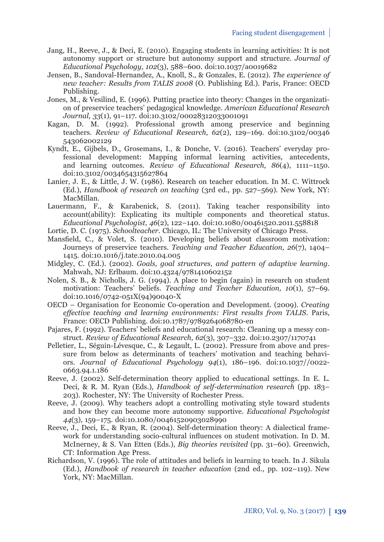- Jang, H., Reeve, J., & Deci, E. (2010). Engaging students in learning activities: It is not autonomy support or structure but autonomy support and structure. *Journal of Educational Psychology*, *102*(3), 588–600. doi:10.1037/a0019682
- Jensen, B., Sandoval-Hernandez, A., Knoll, S., & Gonzales, E. (2012). *The experience of new teacher: Results from TALIS 2008* (O. Publishing Ed.). Paris, France: OECD Publishing.
- Jones, M., & Vesilind, E. (1996). Putting practice into theory: Changes in the organization of preservice teachers' pedagogical knowledge. *American Educational Research Journal, 33*(1), 91–117. doi:10.3102/00028312033001091
- Kagan, D. M. (1992). Professional growth among preservice and beginning teachers. *Review of Educational Research, 62*(2), 129–169. doi:10.3102/00346 543062002129
- Kyndt, E., Gijbels, D., Grosemans, I., & Donche, V. (2016). Teachers' everyday professional development: Mapping informal learning activities, antecedents, and learning outcomes. *Review of Educational Research, 86*(4), 1111–1150. doi:10.3102/0034654315627864
- Lanier, J. E., & Little, J. W. (1986). Research on teacher education. In M. C. Wittrock (Ed.), *Handbook of research on teaching* (3rd ed., pp. 527–569). New York, NY: MacMillan.
- Lauermann, F., & Karabenick, S. (2011). Taking teacher responsibility into account(ability): Explicating its multiple components and theoretical status. *Educational Psychologist, 46*(2), 122–140. doi:10.1080/00461520.2011.558818
- Lortie, D. C. (1975). *Schoolteacher*. Chicago, IL: The University of Chicago Press.
- Mansfield, C., & Volet, S. (2010). Developing beliefs about classroom motivation: Journeys of preservice teachers. *Teaching and Teacher Education, 26*(7), 1404– 1415. doi:10.1016/j.tate.2010.04.005
- Midgley, C. (Ed.). (2002). *Goals, goal structures, and pattern of adaptive learning*. Mahwah, NJ: Erlbaum. doi:10.4324/9781410602152
- Nolen, S. B., & Nicholls, J. G. (1994). A place to begin (again) in research on student motivation: Teachers' beliefs. *Teaching and Teacher Education, 10*(1), 57–69. doi:10.1016/0742-051X(94)90040-X
- OECD Organisation for Economic Co-operation and Development. (2009). *Creating eff ective teaching and learning environments: First results from TALIS*. Paris, France: OECD Publishing. doi:10.1787/9789264068780-en
- Pajares, F. (1992). Teachers' beliefs and educational research: Cleaning up a messy construct. *Review of Educational Research, 62*(3), 307–332. doi:10.2307/1170741
- Pelletier, L., Séguin-Lévesque, C., & Legault, L. (2002). Pressure from above and pressure from below as determinants of teachers' motivation and teaching behaviors. *Journal of Educational Psychology 94*(1), 186–196. doi:10.1037//0022- 0663.94.1.186
- Reeve, J. (2002). Self-determination theory applied to educational settings. In E. L. Deci, & R. M. Ryan (Eds.), *Handbook of self-determination research* (pp. 183– 203). Rochester, NY: The University of Rochester Press.
- Reeve, J. (2009). Why teachers adopt a controlling motivating style toward students and how they can become more autonomy supportive. *Educational Psychologist 44*(3), 159–175. doi:10.1080/00461520903028990
- Reeve, J., Deci, E., & Ryan, R. (2004). Self-determination theory: A dialectical framework for understanding socio-cultural influences on student motivation. In D. M. McInerney, & S. Van Etten (Eds.), *Big theories revisited* (pp. 31–60). Greenwich, CT: Information Age Press.
- Richardson, V. (1996). The role of attitudes and beliefs in learning to teach. In J. Sikula (Ed.), *Handbook of research in teacher education* (2nd ed., pp. 102–119). New York, NY: MacMillan.